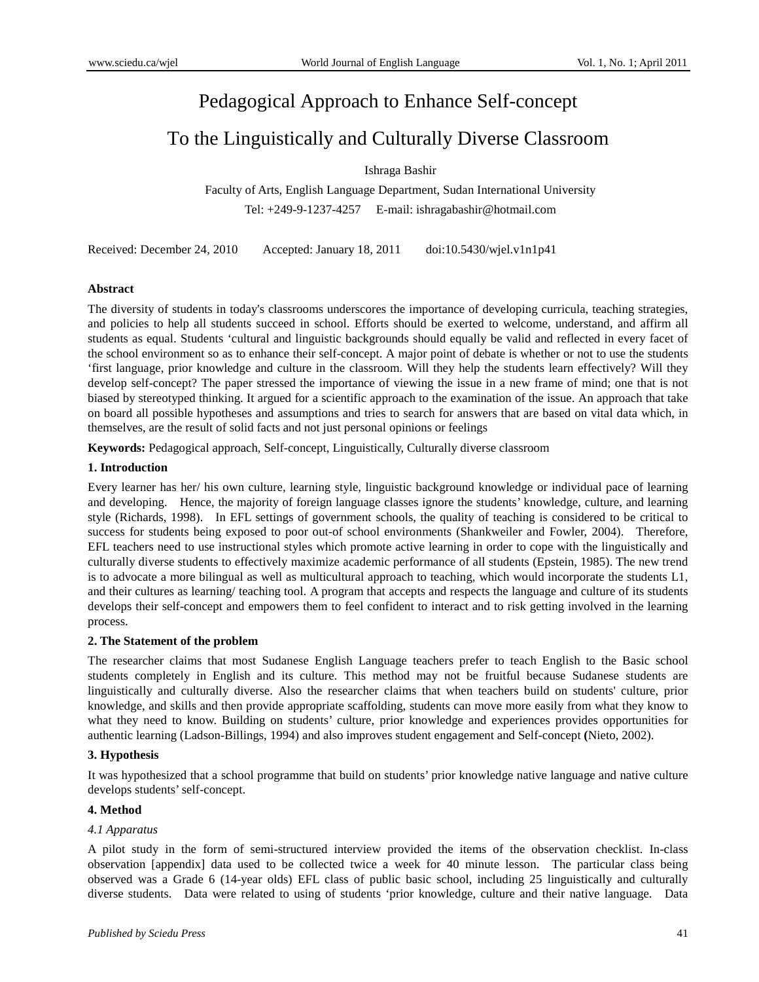# Pedagogical Approach to Enhance Self-concept

# To the Linguistically and Culturally Diverse Classroom

Ishraga Bashir

Faculty of Arts, English Language Department, Sudan International University Tel: +249-9-1237-4257 E-mail: ishragabashir@hotmail.com

Received: December 24, 2010 Accepted: January 18, 2011 doi:10.5430/wjel.v1n1p41

### **Abstract**

The diversity of students in today's classrooms underscores the importance of developing curricula, teaching strategies, and policies to help all students succeed in school. Efforts should be exerted to welcome, understand, and affirm all students as equal. Students 'cultural and linguistic backgrounds should equally be valid and reflected in every facet of the school environment so as to enhance their self-concept. A major point of debate is whether or not to use the students 'first language, prior knowledge and culture in the classroom. Will they help the students learn effectively? Will they develop self-concept? The paper stressed the importance of viewing the issue in a new frame of mind; one that is not biased by stereotyped thinking. It argued for a scientific approach to the examination of the issue. An approach that take on board all possible hypotheses and assumptions and tries to search for answers that are based on vital data which, in themselves, are the result of solid facts and not just personal opinions or feelings

**Keywords:** Pedagogical approach, Self-concept, Linguistically, Culturally diverse classroom

### **1. Introduction**

Every learner has her/ his own culture, learning style, linguistic background knowledge or individual pace of learning and developing. Hence, the majority of foreign language classes ignore the students' knowledge, culture, and learning style (Richards, 1998). In EFL settings of government schools, the quality of teaching is considered to be critical to success for students being exposed to poor out-of school environments (Shankweiler and Fowler, 2004). Therefore, EFL teachers need to use instructional styles which promote active learning in order to cope with the linguistically and culturally diverse students to effectively maximize academic performance of all students (Epstein, 1985). The new trend is to advocate a more bilingual as well as multicultural approach to teaching, which would incorporate the students L1, and their cultures as learning/ teaching tool. A program that accepts and respects the language and culture of its students develops their self-concept and empowers them to feel confident to interact and to risk getting involved in the learning process.

# **2. The Statement of the problem**

The researcher claims that most Sudanese English Language teachers prefer to teach English to the Basic school students completely in English and its culture. This method may not be fruitful because Sudanese students are linguistically and culturally diverse. Also the researcher claims that when teachers build on students' culture, prior knowledge, and skills and then provide appropriate [scaffolding,](http://www.ncrel.org/sdrs/areas/issues/content/cntareas/reading/li1lk21-2.htm) students can move more easily from what they know to what they need to know. Building on students' culture, prior knowledge and experiences provides opportunities for authentic learning (Ladson-Billings, 1994) and also improves student engagement and Self-concept **(**Nieto, 2002).

#### **3. Hypothesis**

It was hypothesized that a school programme that build on students' prior knowledge native language and native culture develops students' self-concept.

# **4. Method**

# *4.1 Apparatus*

A pilot study in the form of semi-structured interview provided the items of the observation checklist. In-class observation [appendix] data used to be collected twice a week for 40 minute lesson. The particular class being observed was a Grade 6 (14-year olds) EFL class of public basic school, including 25 linguistically and culturally diverse students. Data were related to using of students 'prior knowledge, culture and their native language. Data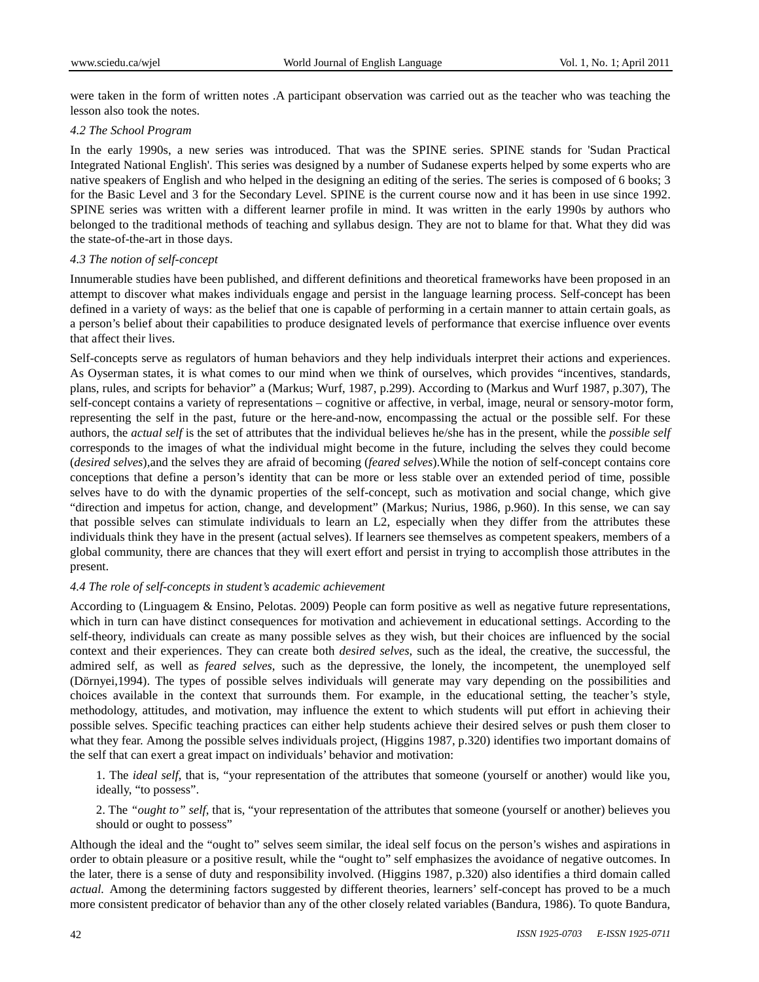were taken in the form of written notes .A participant observation was carried out as the teacher who was teaching the lesson also took the notes.

#### *4.2 The School Program*

In the early 1990s, a new series was introduced. That was the SPINE series. SPINE stands for 'Sudan Practical Integrated National English'. This series was designed by a number of Sudanese experts helped by some experts who are native speakers of English and who helped in the designing an editing of the series. The series is composed of 6 books; 3 for the Basic Level and 3 for the Secondary Level. SPINE is the current course now and it has been in use since 1992. SPINE series was written with a different learner profile in mind. It was written in the early 1990s by authors who belonged to the traditional methods of teaching and syllabus design. They are not to blame for that. What they did was the state-of-the-art in those days.

#### *4.3 The notion of self-concept*

Innumerable studies have been published, and different definitions and theoretical frameworks have been proposed in an attempt to discover what makes individuals engage and persist in the language learning process. Self-concept has been defined in a variety of ways: as the belief that one is capable of performing in a certain manner to attain certain goals, as a person's belief about their capabilities to produce designated levels of performance that exercise influence over events that affect their lives.

Self-concepts serve as regulators of human behaviors and they help individuals interpret their actions and experiences. As Oyserman states, it is what comes to our mind when we think of ourselves, which provides "incentives, standards, plans, rules, and scripts for behavior" a (Markus; Wurf, 1987, p.299). According to (Markus and Wurf 1987, p.307), The self-concept contains a variety of representations – cognitive or affective, in verbal, image, neural or sensory-motor form, representing the self in the past, future or the here-and-now, encompassing the actual or the possible self. For these authors, the *actual self* is the set of attributes that the individual believes he/she has in the present, while the *possible self* corresponds to the images of what the individual might become in the future, including the selves they could become (*desired selves*),and the selves they are afraid of becoming (*feared selves*).While the notion of self-concept contains core conceptions that define a person's identity that can be more or less stable over an extended period of time, possible selves have to do with the dynamic properties of the self-concept, such as motivation and social change, which give "direction and impetus for action, change, and development" (Markus; Nurius, 1986, p.960). In this sense, we can say that possible selves can stimulate individuals to learn an L2, especially when they differ from the attributes these individuals think they have in the present (actual selves). If learners see themselves as competent speakers, members of a global community, there are chances that they will exert effort and persist in trying to accomplish those attributes in the present.

#### *4.4 The role of self-concepts in student's academic achievement*

According to (Linguagem & Ensino, Pelotas. 2009) People can form positive as well as negative future representations, which in turn can have distinct consequences for motivation and achievement in educational settings. According to the self-theory, individuals can create as many possible selves as they wish, but their choices are influenced by the social context and their experiences. They can create both *desired selves*, such as the ideal, the creative, the successful, the admired self, as well as *feared selves*, such as the depressive, the lonely, the incompetent, the unemployed self (Dörnyei,1994). The types of possible selves individuals will generate may vary depending on the possibilities and choices available in the context that surrounds them. For example, in the educational setting, the teacher's style, methodology, attitudes, and motivation, may influence the extent to which students will put effort in achieving their possible selves. Specific teaching practices can either help students achieve their desired selves or push them closer to what they fear. Among the possible selves individuals project, (Higgins 1987, p.320) identifies two important domains of the self that can exert a great impact on individuals' behavior and motivation:

1. The *ideal self*, that is, "your representation of the attributes that someone (yourself or another) would like you, ideally, "to possess".

2. The *"ought to" self*, that is, "your representation of the attributes that someone (yourself or another) believes you should or ought to possess"

Although the ideal and the "ought to" selves seem similar, the ideal self focus on the person's wishes and aspirations in order to obtain pleasure or a positive result, while the "ought to" self emphasizes the avoidance of negative outcomes. In the later, there is a sense of duty and responsibility involved. (Higgins 1987, p.320) also identifies a third domain called *actual.* Among the determining factors suggested by different theories, learners' self-concept has proved to be a much more consistent predicator of behavior than any of the other closely related variables (Bandura, 1986). To quote Bandura,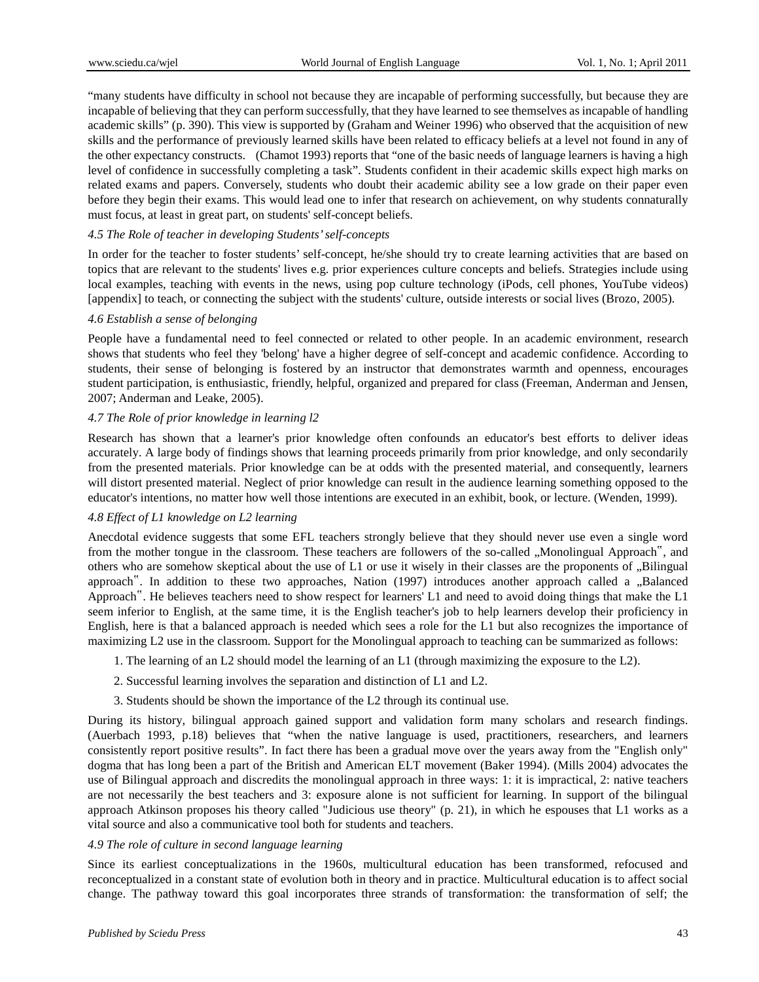"many students have difficulty in school not because they are incapable of performing successfully, but because they are incapable of believing that they can perform successfully, that they have learned to see themselves as incapable of handling academic skills" (p. 390). This view is supported by (Graham and Weiner 1996) who observed that the acquisition of new skills and the performance of previously learned skills have been related to efficacy beliefs at a level not found in any of the other expectancy constructs. (Chamot 1993) reports that "one of the basic needs of language learners is having a high level of confidence in successfully completing a task". Students confident in their academic skills expect high marks on related exams and papers. Conversely, students who doubt their academic ability see a low grade on their paper even before they begin their exams. This would lead one to infer that research on achievement, on why students connaturally must focus, at least in great part, on students' self-concept beliefs.

### *4.5 The Role of teacher in developing Students' self-concepts*

In order for the teacher to foster students' self-concept, he/she should try to create learning activities that are based on topics that are relevant to the students' lives e.g. prior experiences culture concepts and beliefs. Strategies include using local examples, teaching with events in the news, using pop culture technology (iPods, cell phones, YouTube videos) [appendix] to teach, or connecting the subject with the students' culture, outside interests or social lives (Brozo, 2005).

#### *4.6 Establish a sense of belonging*

People have a fundamental need to feel connected or related to other people. In an academic environment, research shows that students who feel they 'belong' have a higher degree of self-concept and academic confidence. According to students, their sense of belonging is fostered by an instructor that demonstrates warmth and openness, encourages student participation, is enthusiastic, friendly, helpful, organized and prepared for class (Freeman, Anderman and Jensen, 2007; Anderman and Leake, 2005).

### *4.7 The Role of prior knowledge in learning l2*

Research has shown that a learner's prior knowledge often confounds an educator's best efforts to deliver ideas accurately. A large body of findings shows that learning proceeds primarily from prior knowledge, and only secondarily from the presented materials. Prior knowledge can be at odds with the presented material, and consequently, learners will distort presented material. Neglect of prior knowledge can result in the audience learning something opposed to the educator's intentions, no matter how well those intentions are executed in an exhibit, book, or lecture. (Wenden, 1999).

#### *4.8 Effect of L1 knowledge on L2 learning*

Anecdotal evidence suggests that some EFL teachers strongly believe that they should never use even a single word from the mother tongue in the classroom. These teachers are followers of the so-called "Monolingual Approach", and others who are somehow skeptical about the use of L1 or use it wisely in their classes are the proponents of  $\alpha$ . Bilingual approach". In addition to these two approaches, Nation (1997) introduces another approach called a "Balanced Approach". He believes teachers need to show respect for learners' L1 and need to avoid doing things that make the L1 seem inferior to English, at the same time, it is the English teacher's job to help learners develop their proficiency in English, here is that a balanced approach is needed which sees a role for the L1 but also recognizes the importance of maximizing L2 use in the classroom. Support for the Monolingual approach to teaching can be summarized as follows:

- 1. The learning of an L2 should model the learning of an L1 (through maximizing the exposure to the L2).
- 2. Successful learning involves the separation and distinction of L1 and L2.
- 3. Students should be shown the importance of the L2 through its continual use.

During its history, bilingual approach gained support and validation form many scholars and research findings. (Auerbach 1993, p.18) believes that "when the native language is used, practitioners, researchers, and learners consistently report positive results". In fact there has been a gradual move over the years away from the "English only" dogma that has long been a part of the British and American ELT movement (Baker 1994). (Mills 2004) advocates the use of Bilingual approach and discredits the monolingual approach in three ways: 1: it is impractical, 2: native teachers are not necessarily the best teachers and 3: exposure alone is not sufficient for learning. In support of the bilingual approach Atkinson proposes his theory called "Judicious use theory" (p. 21), in which he espouses that L1 works as a vital source and also a communicative tool both for students and teachers.

#### *4.9 The role of culture in second language learning*

Since its earliest conceptualizations in the 1960s, multicultural education has been transformed, refocused and reconceptualized in a constant state of evolution both in theory and in practice. Multicultural education is to affect social change. The pathway toward this goal incorporates three strands of transformation: the transformation of self; the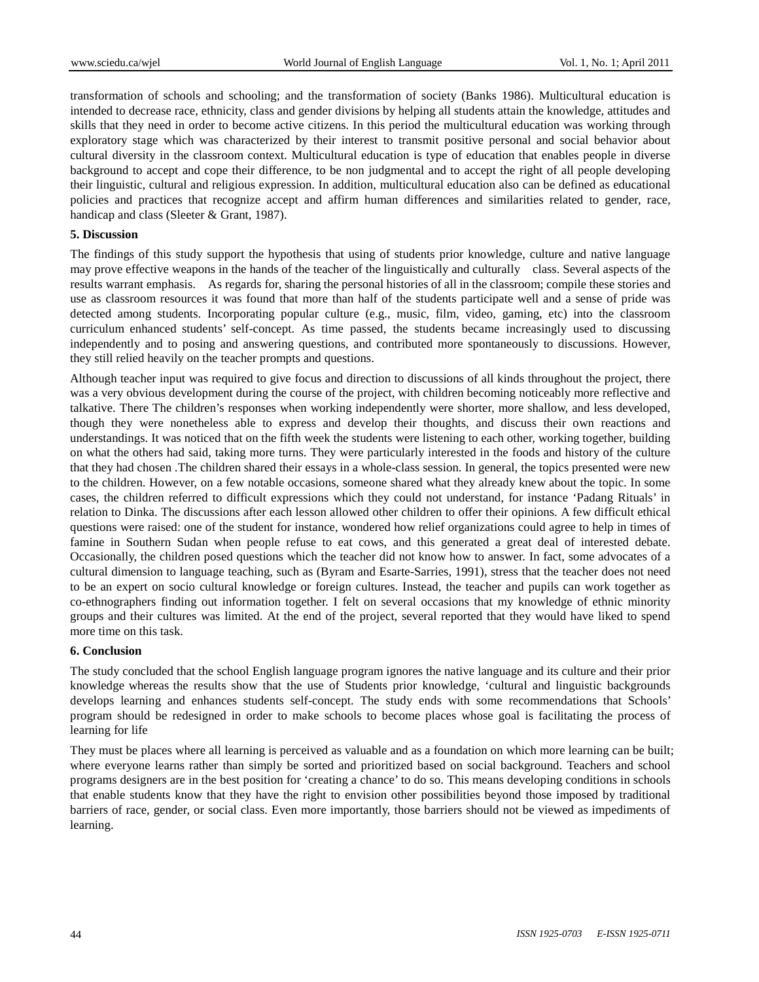transformation of schools and schooling; and the transformation of society (Banks 1986). Multicultural education is intended to decrease race, ethnicity, class and gender divisions by helping all students attain the knowledge, attitudes and skills that they need in order to become active citizens. In this period the multicultural education was working through exploratory stage which was characterized by their interest to transmit positive personal and social behavior about cultural diversity in the classroom context. Multicultural education is type of education that enables people in diverse background to accept and cope their difference, to be non judgmental and to accept the right of all people developing their linguistic, cultural and religious expression. In addition, multicultural education also can be defined as educational policies and practices that recognize accept and affirm human differences and similarities related to gender, race, handicap and class (Sleeter & Grant, 1987).

#### **5. Discussion**

The findings of this study support the hypothesis that using of students prior knowledge, culture and native language may prove effective weapons in the hands of the teacher of the linguistically and culturally class. Several aspects of the results warrant emphasis. As regards for, sharing the personal histories of all in the classroom; compile these stories and use as classroom resources it was found that more than half of the students participate well and a sense of pride was detected among students. Incorporating popular culture (e.g., music, film, video, gaming, etc) into the classroom curriculum enhanced students' self-concept. As time passed, the students became increasingly used to discussing independently and to posing and answering questions, and contributed more spontaneously to discussions. However, they still relied heavily on the teacher prompts and questions.

Although teacher input was required to give focus and direction to discussions of all kinds throughout the project, there was a very obvious development during the course of the project, with children becoming noticeably more reflective and talkative. There The children's responses when working independently were shorter, more shallow, and less developed, though they were nonetheless able to express and develop their thoughts, and discuss their own reactions and understandings. It was noticed that on the fifth week the students were listening to each other, working together, building on what the others had said, taking more turns. They were particularly interested in the foods and history of the culture that they had chosen .The children shared their essays in a whole-class session. In general, the topics presented were new to the children. However, on a few notable occasions, someone shared what they already knew about the topic. In some cases, the children referred to difficult expressions which they could not understand, for instance 'Padang Rituals' in relation to Dinka. The discussions after each lesson allowed other children to offer their opinions. A few difficult ethical questions were raised: one of the student for instance, wondered how relief organizations could agree to help in times of famine in Southern Sudan when people refuse to eat cows, and this generated a great deal of interested debate. Occasionally, the children posed questions which the teacher did not know how to answer. In fact, some advocates of a cultural dimension to language teaching, such as (Byram and Esarte-Sarries, 1991), stress that the teacher does not need to be an expert on socio cultural knowledge or foreign cultures. Instead, the teacher and pupils can work together as co-ethnographers finding out information together. I felt on several occasions that my knowledge of ethnic minority groups and their cultures was limited. At the end of the project, several reported that they would have liked to spend more time on this task.

#### **6. Conclusion**

The study concluded that the school English language program ignores the native language and its culture and their prior knowledge whereas the results show that the use of Students prior knowledge, 'cultural and linguistic backgrounds develops learning and enhances students self-concept. The study ends with some recommendations that Schools' program should be redesigned in order to make schools to become places whose goal is facilitating the process of learning for life

They must be places where all learning is perceived as valuable and as a foundation on which more learning can be built; where everyone learns rather than simply be sorted and prioritized based on social background. Teachers and school programs designers are in the best position for 'creating a chance' to do so. This means developing conditions in schools that enable students know that they have the right to envision other possibilities beyond those imposed by traditional barriers of race, gender, or social class. Even more importantly, those barriers should not be viewed as impediments of learning.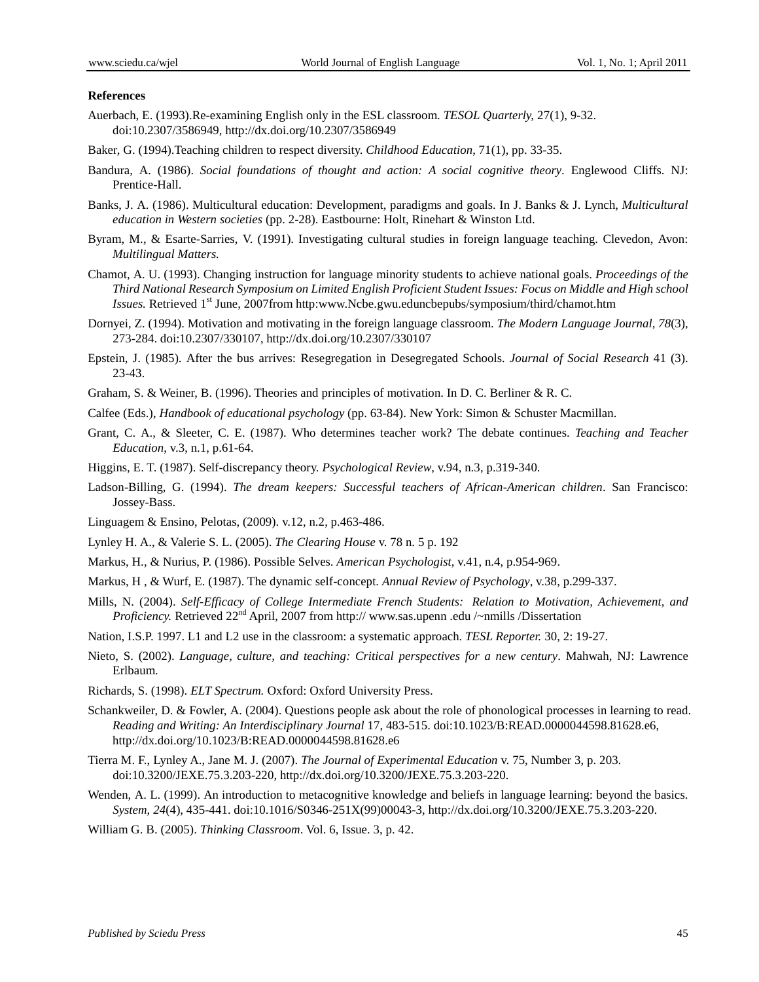#### **References**

- Auerbach, E. (1993).Re-examining English only in the ESL classroom. *TESOL Quarterly,* 27(1), 9-32. [doi:10.2307/3586949,](http://dx.doi.org/10.2307/3586949) http://dx.doi.org[/10.2307/3586949](http://dx.doi.org/10.2307/3586949)
- Baker, G. (1994).Teaching children to respect diversity. *Childhood Education*, 71(1), pp. 33-35.
- Bandura, A. (1986). *Social foundations of thought and action: A social cognitive theory*. Englewood Cliffs. NJ: Prentice-Hall.
- Banks, J. A. (1986). Multicultural education: Development, paradigms and goals. In J. Banks & J. Lynch, *Multicultural education in Western societies* (pp. 2-28). Eastbourne: Holt, Rinehart & Winston Ltd.
- Byram, M., & Esarte-Sarries, V. (1991). Investigating cultural studies in foreign language teaching. Clevedon, Avon: *Multilingual Matters.*
- Chamot, A. U. (1993). Changing instruction for language minority students to achieve national goals. *Proceedings of the Third National Research Symposium on Limited English Proficient Student Issues: Focus on Middle and High school Issues.* Retrieved 1st June, 2007from http:www.Ncbe.gwu.eduncbepubs/symposium/third/chamot.htm
- Dornyei, Z. (1994). Motivation and motivating in the foreign language classroom. *The Modern Language Journal*, *78*(3), 273-284. [doi:10.2307/330107,](http://dx.doi.org/10.2307/330107) http://dx.doi.org/10.2307/330107
- Epstein, J. (1985). After the bus arrives: Resegregation in Desegregated Schools. *Journal of Social Research* 41 (3). 23-43.
- Graham, S. & Weiner, B. (1996). Theories and principles of motivation. In D. C. Berliner & R. C.
- Calfee (Eds.), *Handbook of educational psychology* (pp. 63-84). New York: Simon & Schuster Macmillan.
- Grant, C. A., & Sleeter, C. E. (1987). Who determines teacher work? The debate continues. *Teaching and Teacher Education*, v.3, n.1, p.61-64.
- Higgins, E. T. (1987). Self-discrepancy theory. *Psychological Review*, v.94, n.3, p.319-340.
- Ladson-Billing, G. (1994). *The dream keepers: Successful teachers of African-American children*. San Francisco: Jossey-Bass.
- Linguagem & Ensino, Pelotas, (2009). v.12, n.2, p.463-486.
- Lynley H. A., & Valerie S. L. (2005). *The Clearing House* v. 78 n. 5 p. 192
- Markus, H., & Nurius, P. (1986). Possible Selves. *American Psychologist*, v.41, n.4, p.954-969.
- Markus, H , & Wurf, E. (1987). The dynamic self-concept. *Annual Review of Psychology*, v.38, p.299-337.
- Mills, N. (2004). *Self-Efficacy of College Intermediate French Students: Relation to Motivation, Achievement, and Proficiency.* Retrieved 22<sup>nd</sup> April, 2007 from http:// www.sas.upenn .edu /~nmills /Dissertation
- Nation, I.S.P. 1997. L1 and L2 use in the classroom: a systematic approach. *TESL Reporter.* 30, 2: 19-27.
- Nieto, S. (2002). *Language, culture, and teaching: Critical perspectives for a new century*. Mahwah, NJ: Lawrence Erlbaum.
- Richards, S. (1998). *ELT Spectrum.* Oxford: Oxford University Press.
- Schankweiler, D. & Fowler, A. (2004). Questions people ask about the role of phonological processes in learning to read. *Reading and Writing: An Interdisciplinary Journal* 17, 483-515. [doi:10.1023/B:READ.0000044598.81628.e6,](http://dx.doi.org/10.1023/B:READ.0000044598.81628.e6) http://dx.doi.org/10.1023/B:READ.0000044598.81628.e6
- Tierra M. F., Lynley A., Jane M. J. (2007). *The Journal of Experimental Education* v. 75, Number 3, p. 203. [doi:10.3200/JEXE.75.3.203-220,](http://dx.doi.org/10.3200/JEXE.75.3.203-220) http://dx.doi.org/10.3200/JEXE.75.3.203-220.
- Wenden, A. L. (1999). An introduction to metacognitive knowledge and beliefs in language learning: beyond the basics. *System*, *24*(4), 435-441[. doi:10.1016/S0346-251X\(99\)00043-3,](http://dx.doi.org/10.1016/S0346-251X(99)00043-3) http://dx.doi.org/10.3200/JEXE.75.3.203-220.
- William G. B. (2005). *Thinking Classroom*. Vol. 6, Issue. 3, p. 42.